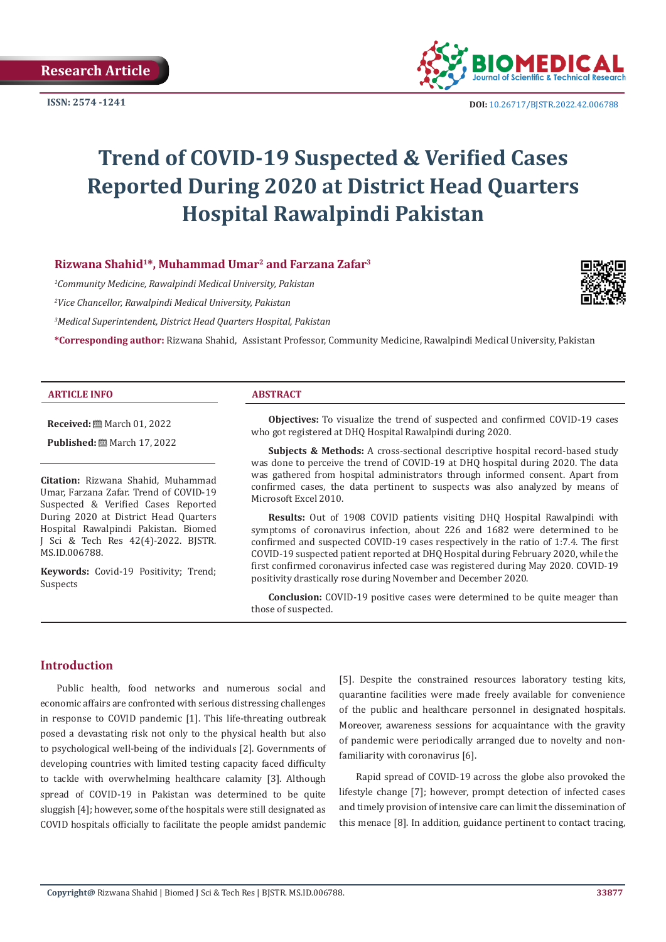

**ISSN:** 2574 -1241 **DOI:** [10.26717/BJSTR.2022.42.006788](https://dx.doi.org/10.26717/BJSTR.2022.42.006788)

# **Trend of COVID-19 Suspected & Verified Cases Reported During 2020 at District Head Quarters Hospital Rawalpindi Pakistan**

# **Rizwana Shahid1\*, Muhammad Umar2 and Farzana Zafar3**

*1 Community Medicine, Rawalpindi Medical University, Pakistan*

*2 Vice Chancellor, Rawalpindi Medical University, Pakistan*

*3 Medical Superintendent, District Head Quarters Hospital, Pakistan*

**\*Corresponding author:** Rizwana Shahid, Assistant Professor, Community Medicine, Rawalpindi Medical University, Pakistan

#### **ARTICLE INFO ABSTRACT**

**Received:** March 01, 2022

**Published:** ■ March 17, 2022

**Citation:** Rizwana Shahid, Muhammad Umar, Farzana Zafar. Trend of COVID-19 Suspected & Verified Cases Reported During 2020 at District Head Quarters Hospital Rawalpindi Pakistan. Biomed J Sci & Tech Res 42(4)-2022. BJSTR. MS.ID.006788.

**Keywords:** Covid-19 Positivity; Trend; Suspects

**Objectives:** To visualize the trend of suspected and confirmed COVID-19 cases who got registered at DHQ Hospital Rawalpindi during 2020.

**Subjects & Methods:** A cross-sectional descriptive hospital record-based study was done to perceive the trend of COVID-19 at DHQ hospital during 2020. The data was gathered from hospital administrators through informed consent. Apart from confirmed cases, the data pertinent to suspects was also analyzed by means of Microsoft Excel 2010.

**Results:** Out of 1908 COVID patients visiting DHQ Hospital Rawalpindi with symptoms of coronavirus infection, about 226 and 1682 were determined to be confirmed and suspected COVID-19 cases respectively in the ratio of 1:7.4. The first COVID-19 suspected patient reported at DHQ Hospital during February 2020, while the first confirmed coronavirus infected case was registered during May 2020. COVID-19 positivity drastically rose during November and December 2020.

**Conclusion:** COVID-19 positive cases were determined to be quite meager than those of suspected.

# **Introduction**

Public health, food networks and numerous social and economic affairs are confronted with serious distressing challenges in response to COVID pandemic [1]. This life-threating outbreak posed a devastating risk not only to the physical health but also to psychological well-being of the individuals [2]. Governments of developing countries with limited testing capacity faced difficulty to tackle with overwhelming healthcare calamity [3]. Although spread of COVID-19 in Pakistan was determined to be quite sluggish [4]; however, some of the hospitals were still designated as COVID hospitals officially to facilitate the people amidst pandemic

[5]. Despite the constrained resources laboratory testing kits, quarantine facilities were made freely available for convenience of the public and healthcare personnel in designated hospitals. Moreover, awareness sessions for acquaintance with the gravity of pandemic were periodically arranged due to novelty and nonfamiliarity with coronavirus [6].

Rapid spread of COVID-19 across the globe also provoked the lifestyle change [7]; however, prompt detection of infected cases and timely provision of intensive care can limit the dissemination of this menace [8]. In addition, guidance pertinent to contact tracing,

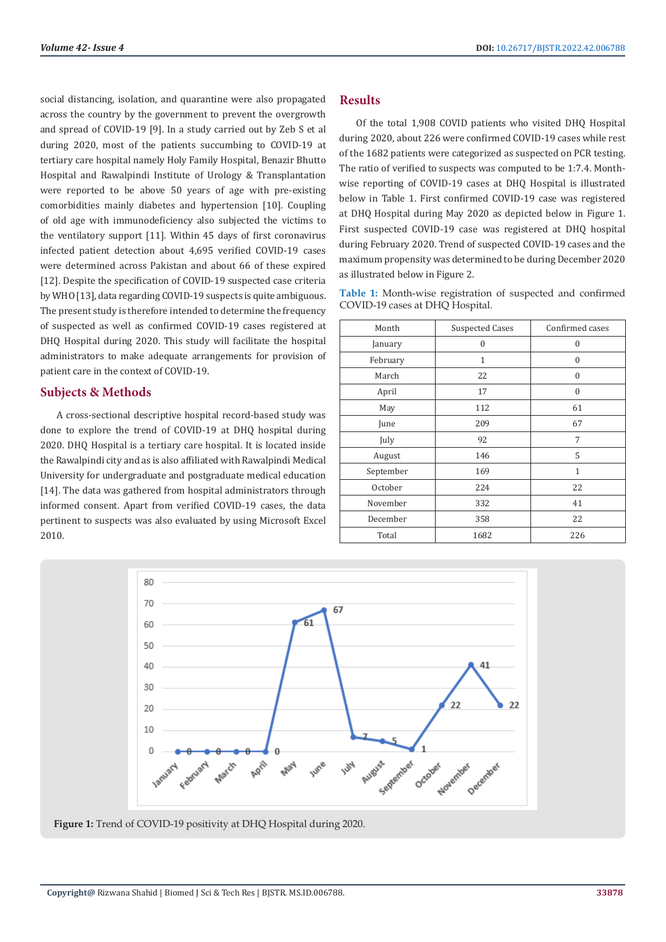social distancing, isolation, and quarantine were also propagated across the country by the government to prevent the overgrowth and spread of COVID-19 [9]. In a study carried out by Zeb S et al during 2020, most of the patients succumbing to COVID-19 at tertiary care hospital namely Holy Family Hospital, Benazir Bhutto Hospital and Rawalpindi Institute of Urology & Transplantation were reported to be above 50 years of age with pre-existing comorbidities mainly diabetes and hypertension [10]. Coupling of old age with immunodeficiency also subjected the victims to the ventilatory support [11]. Within 45 days of first coronavirus infected patient detection about 4,695 verified COVID-19 cases were determined across Pakistan and about 66 of these expired [12]. Despite the specification of COVID-19 suspected case criteria by WHO [13], data regarding COVID-19 suspects is quite ambiguous. The present study is therefore intended to determine the frequency of suspected as well as confirmed COVID-19 cases registered at DHQ Hospital during 2020. This study will facilitate the hospital administrators to make adequate arrangements for provision of patient care in the context of COVID-19.

### **Subjects & Methods**

A cross-sectional descriptive hospital record-based study was done to explore the trend of COVID-19 at DHQ hospital during 2020. DHQ Hospital is a tertiary care hospital. It is located inside the Rawalpindi city and as is also affiliated with Rawalpindi Medical University for undergraduate and postgraduate medical education [14]. The data was gathered from hospital administrators through informed consent. Apart from verified COVID-19 cases, the data pertinent to suspects was also evaluated by using Microsoft Excel 2010.

## **Results**

Of the total 1,908 COVID patients who visited DHQ Hospital during 2020, about 226 were confirmed COVID-19 cases while rest of the 1682 patients were categorized as suspected on PCR testing. The ratio of verified to suspects was computed to be 1:7.4. Monthwise reporting of COVID-19 cases at DHQ Hospital is illustrated below in Table 1. First confirmed COVID-19 case was registered at DHQ Hospital during May 2020 as depicted below in Figure 1. First suspected COVID-19 case was registered at DHQ hospital during February 2020. Trend of suspected COVID-19 cases and the maximum propensity was determined to be during December 2020 as illustrated below in Figure 2.

**Table 1:** Month-wise registration of suspected and confirmed COVID-19 cases at DHQ Hospital.

| Month     | <b>Suspected Cases</b> | Confirmed cases |
|-----------|------------------------|-----------------|
| January   | 0                      | $\mathbf{0}$    |
| February  | 1                      | $\Omega$        |
| March     | 22                     | $\mathbf{0}$    |
| April     | 17                     | $\mathbf{0}$    |
| May       | 112                    | 61              |
| June      | 209                    | 67              |
| July      | 92                     | 7               |
| August    | 146                    | 5               |
| September | 169                    | 1               |
| October   | 224                    | 22              |
| November  | 332                    | 41              |
| December  | 358                    | 22              |
| Total     | 1682                   | 226             |



**Figure 1:** Trend of COVID-19 positivity at DHQ Hospital during 2020.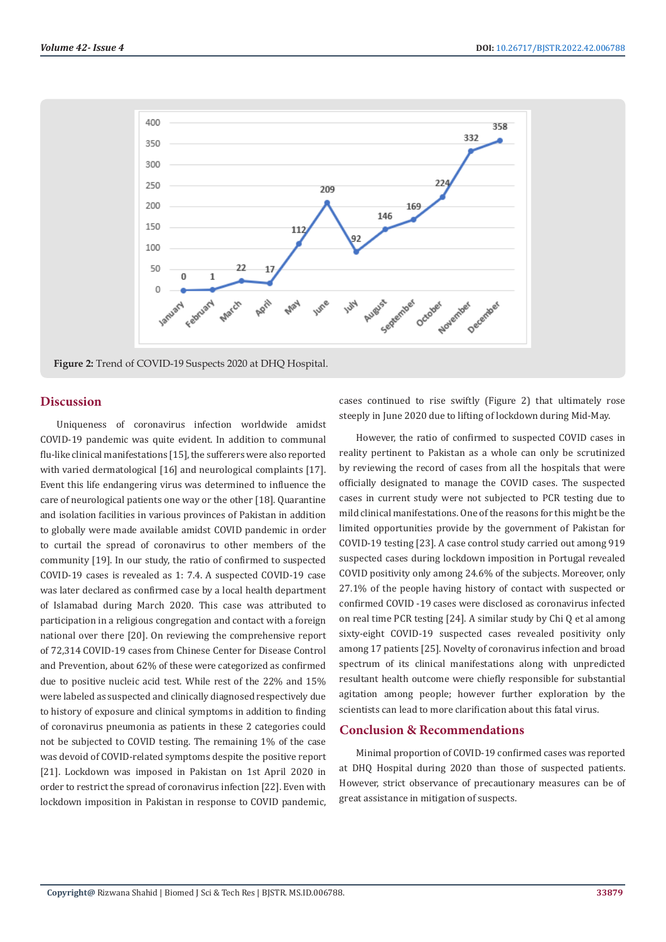

**Figure 2:** Trend of COVID-19 Suspects 2020 at DHQ Hospital.

#### **Discussion**

Uniqueness of coronavirus infection worldwide amidst COVID-19 pandemic was quite evident. In addition to communal flu-like clinical manifestations [15], the sufferers were also reported with varied dermatological [16] and neurological complaints [17]. Event this life endangering virus was determined to influence the care of neurological patients one way or the other [18]. Quarantine and isolation facilities in various provinces of Pakistan in addition to globally were made available amidst COVID pandemic in order to curtail the spread of coronavirus to other members of the community [19]. In our study, the ratio of confirmed to suspected COVID-19 cases is revealed as 1: 7.4. A suspected COVID-19 case was later declared as confirmed case by a local health department of Islamabad during March 2020. This case was attributed to participation in a religious congregation and contact with a foreign national over there [20]. On reviewing the comprehensive report of 72,314 COVID-19 cases from Chinese Center for Disease Control and Prevention, about 62% of these were categorized as confirmed due to positive nucleic acid test. While rest of the 22% and 15% were labeled as suspected and clinically diagnosed respectively due to history of exposure and clinical symptoms in addition to finding of coronavirus pneumonia as patients in these 2 categories could not be subjected to COVID testing. The remaining 1% of the case was devoid of COVID-related symptoms despite the positive report [21]. Lockdown was imposed in Pakistan on 1st April 2020 in order to restrict the spread of coronavirus infection [22]. Even with lockdown imposition in Pakistan in response to COVID pandemic, cases continued to rise swiftly (Figure 2) that ultimately rose steeply in June 2020 due to lifting of lockdown during Mid-May.

However, the ratio of confirmed to suspected COVID cases in reality pertinent to Pakistan as a whole can only be scrutinized by reviewing the record of cases from all the hospitals that were officially designated to manage the COVID cases. The suspected cases in current study were not subjected to PCR testing due to mild clinical manifestations. One of the reasons for this might be the limited opportunities provide by the government of Pakistan for COVID-19 testing [23]. A case control study carried out among 919 suspected cases during lockdown imposition in Portugal revealed COVID positivity only among 24.6% of the subjects. Moreover, only 27.1% of the people having history of contact with suspected or confirmed COVID -19 cases were disclosed as coronavirus infected on real time PCR testing [24]. A similar study by Chi Q et al among sixty-eight COVID-19 suspected cases revealed positivity only among 17 patients [25]. Novelty of coronavirus infection and broad spectrum of its clinical manifestations along with unpredicted resultant health outcome were chiefly responsible for substantial agitation among people; however further exploration by the scientists can lead to more clarification about this fatal virus.

#### **Conclusion & Recommendations**

Minimal proportion of COVID-19 confirmed cases was reported at DHQ Hospital during 2020 than those of suspected patients. However, strict observance of precautionary measures can be of great assistance in mitigation of suspects.